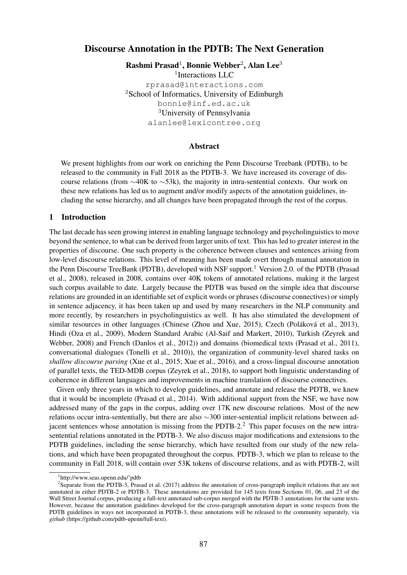# Discourse Annotation in the PDTB: The Next Generation

Rashmi Prasad<sup>1</sup>, Bonnie Webber<sup>2</sup>, Alan Lee<sup>3</sup> <sup>1</sup>Interactions LLC rprasad@interactions.com <sup>2</sup>School of Informatics, University of Edinburgh bonnie@inf.ed.ac.uk <sup>3</sup>University of Pennsylvania alanlee@lexicontree.org

### Abstract

We present highlights from our work on enriching the Penn Discourse Treebank (PDTB), to be released to the community in Fall 2018 as the PDTB-3. We have increased its coverage of discourse relations (from  $\sim$ 40K to  $\sim$ 53k), the majority in intra-sentential contexts. Our work on these new relations has led us to augment and/or modify aspects of the annotation guidelines, including the sense hierarchy, and all changes have been propagated through the rest of the corpus.

#### 1 Introduction

The last decade has seen growing interest in enabling language technology and psycholinguistics to move beyond the sentence, to what can be derived from larger units of text. This has led to greater interest in the properties of discourse. One such property is the coherence between clauses and sentences arising from low-level discourse relations. This level of meaning has been made overt through manual annotation in the Penn Discourse TreeBank (PDTB), developed with NSF support.<sup>1</sup> Version 2.0. of the PDTB (Prasad et al., 2008), released in 2008, contains over 40K tokens of annotated relations, making it the largest such corpus available to date. Largely because the PDTB was based on the simple idea that discourse relations are grounded in an identifiable set of explicit words or phrases (discourse connectives) or simply in sentence adjacency, it has been taken up and used by many researchers in the NLP community and more recently, by researchers in psycholinguistics as well. It has also stimulated the development of similar resources in other languages (Chinese (Zhou and Xue, 2015), Czech (Poláková et al., 2013), Hindi (Oza et al., 2009), Modern Standard Arabic (Al-Saif and Markert, 2010), Turkish (Zeyrek and Webber, 2008) and French (Danlos et al., 2012)) and domains (biomedical texts (Prasad et al., 2011), conversational dialogues (Tonelli et al., 2010)), the organization of community-level shared tasks on *shallow discourse parsing* (Xue et al., 2015; Xue et al., 2016), and a cross-lingual discourse annotation of parallel texts, the TED-MDB corpus (Zeyrek et al., 2018), to support both linguistic understanding of coherence in different languages and improvements in machine translation of discourse connectives.

Given only three years in which to develop guidelines, and annotate and release the PDTB, we knew that it would be incomplete (Prasad et al., 2014). With additional support from the NSF, we have now addressed many of the gaps in the corpus, adding over 17K new discourse relations. Most of the new relations occur intra-sententially, but there are also  $\sim$ 300 inter-sentential implicit relations between adjacent sentences whose annotation is missing from the PDTB-2.<sup>2</sup> This paper focuses on the new intrasentential relations annotated in the PDTB-3. We also discuss major modifications and extensions to the PDTB guidelines, including the sense hierarchy, which have resulted from our study of the new relations, and which have been propagated throughout the corpus. PDTB-3, which we plan to release to the community in Fall 2018, will contain over 53K tokens of discourse relations, and as with PDTB-2, will

<sup>1</sup> http://www.seas.upenn.edu/˜pdtb

<sup>&</sup>lt;sup>2</sup>Separate from the PDTB-3, Prasad et al. (2017) address the annotation of cross-paragraph implicit relations that are not annotated in either PDTB-2 or PDTB-3. These annotations are provided for 145 texts from Sections 01, 06, and 23 of the Wall Street Journal corpus, producing a full-text annotated sub-corpus merged with the PDTB-3 annotations for the same texts. However, because the annotation guidelines developed for the cross-paragraph annotation depart in some respects from the PDTB guidelines in ways not incorporated in PDTB-3, these annotations will be released to the community separately, via *github* (https://github.com/pdtb-upenn/full-text).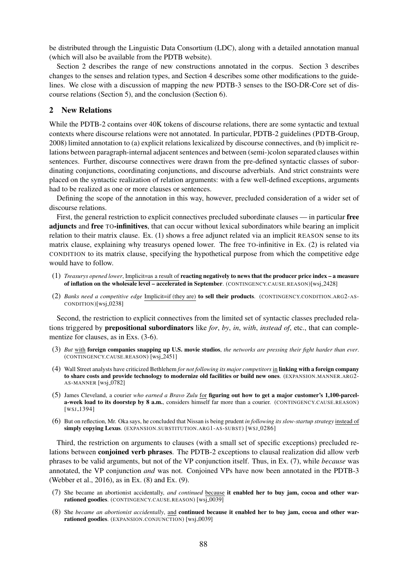be distributed through the Linguistic Data Consortium (LDC), along with a detailed annotation manual (which will also be available from the PDTB website).

Section 2 describes the range of new constructions annotated in the corpus. Section 3 describes changes to the senses and relation types, and Section 4 describes some other modifications to the guidelines. We close with a discussion of mapping the new PDTB-3 senses to the ISO-DR-Core set of discourse relations (Section 5), and the conclusion (Section 6).

### 2 New Relations

While the PDTB-2 contains over 40K tokens of discourse relations, there are some syntactic and textual contexts where discourse relations were not annotated. In particular, PDTB-2 guidelines (PDTB-Group, 2008) limited annotation to (a) explicit relations lexicalized by discourse connectives, and (b) implicit relations between paragraph-internal adjacent sentences and between (semi-)colon separated clauses within sentences. Further, discourse connectives were drawn from the pre-defined syntactic classes of subordinating conjunctions, coordinating conjunctions, and discourse adverbials. And strict constraints were placed on the syntactic realization of relation arguments: with a few well-defined exceptions, arguments had to be realized as one or more clauses or sentences.

Defining the scope of the annotation in this way, however, precluded consideration of a wider set of discourse relations.

First, the general restriction to explicit connectives precluded subordinate clauses — in particular free adjuncts and free TO-infinitives, that can occur without lexical subordinators while bearing an implicit relation to their matrix clause. Ex. (1) shows a free adjunct related via an implicit REASON sense to its matrix clause, explaining why treasurys opened lower. The free TO-infinitive in Ex. (2) is related via CONDITION to its matrix clause, specifying the hypothetical purpose from which the competitive edge would have to follow.

- (1) *Treasurys opened lower*, Implicit=as a result of reacting negatively to news that the producer price index a measure of inflation on the wholesale level – accelerated in September. (CONTINGENCY.CAUSE.REASON)[wsj.2428]
- (2) *Banks need a competitive edge* Implicit=if (they are) to sell their products. (CONTINGENCY.CONDITION.ARG2-AS- $CONDITION)[wsj_0238]$

Second, the restriction to explicit connectives from the limited set of syntactic classes precluded relations triggered by prepositional subordinators like *for*, *by*, *in*, *with*, *instead of*, etc., that can complementize for clauses, as in Exs. (3-6).

- (3) *But* with foreign companies snapping up U.S. movie studios, *the networks are pressing their fight harder than ever*. (CONTINGENCY.CAUSE.REASON) [wsj 2451]
- (4) Wall Street analysts have criticized Bethlehem *for not following its major competitors* in linking with a foreign company to share costs and provide technology to modernize old facilities or build new ones. (EXPANSION.MANNER.ARG2- AS-MANNER [wsj\_0782]
- (5) James Cleveland, a courier *who earned a Bravo Zulu* for figuring out how to get a major customer's 1,100-parcela-week load to its doorstep by 8 a.m., considers himself far more than a courier. (CONTINGENCY.CAUSE.REASON) [WSJ<sub>-1394]</sub>
- (6) But on reflection, Mr. Oka says, he concluded that Nissan is being prudent *in following its slow-startup strategy* instead of simply copying Lexus. (EXPANSION.SUBSTITUTION.ARG1-AS-SUBST) [WSJ\_0286]

Third, the restriction on arguments to clauses (with a small set of specific exceptions) precluded relations between conjoined verb phrases. The PDTB-2 exceptions to clausal realization did allow verb phrases to be valid arguments, but not of the VP conjunction itself. Thus, in Ex. (7), while *because* was annotated, the VP conjunction *and* was not. Conjoined VPs have now been annotated in the PDTB-3 (Webber et al., 2016), as in Ex. (8) and Ex. (9).

- (7) She became an abortionist accidentally, *and continued* because it enabled her to buy jam, cocoa and other warrationed goodies. (CONTINGENCY.CAUSE.REASON) [WSj\_0039]
- (8) She *became an abortionist accidentally*, and continued because it enabled her to buy jam, cocoa and other warrationed goodies. (EXPANSION.CONJUNCTION) [WSJ\_0039]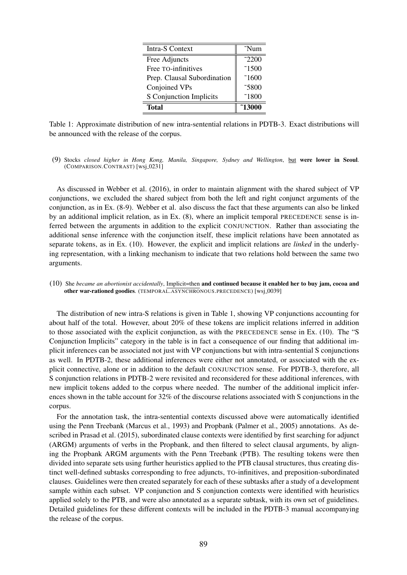| <b>Intra-S Context</b>      | $\tilde{}$ Num   |
|-----------------------------|------------------|
| Free Adjuncts               | $\tilde{c}$ 2200 |
| Free TO-infinitives         | $\tilde{ }$ 1500 |
| Prep. Clausal Subordination | $\tilde{ }$ 1600 |
| Conjoined VPs               | 5800             |
| S Conjunction Implicits     | 1800             |
| <b>Total</b>                | ~13000           |

Table 1: Approximate distribution of new intra-sentential relations in PDTB-3. Exact distributions will be announced with the release of the corpus.

(9) Stocks *closed higher in Hong Kong, Manila, Singapore, Sydney and Wellington*, but were lower in Seoul. (COMPARISON.CONTRAST) [wsj\_0231]

As discussed in Webber et al. (2016), in order to maintain alignment with the shared subject of VP conjunctions, we excluded the shared subject from both the left and right conjunct arguments of the conjunction, as in Ex. (8-9). Webber et al. also discuss the fact that these arguments can also be linked by an additional implicit relation, as in Ex. (8), where an implicit temporal PRECEDENCE sense is inferred between the arguments in addition to the explicit CONJUNCTION. Rather than associating the additional sense inference with the conjunction itself, these implicit relations have been annotated as separate tokens, as in Ex. (10). However, the explicit and implicit relations are *linked* in the underlying representation, with a linking mechanism to indicate that two relations hold between the same two arguments.

(10) She *became an abortionist accidentally*, Implicit=then and continued because it enabled her to buy jam, cocoa and other war-rationed goodies. (TEMPORAL.ASYNCHRONOUS.PRECEDENCE) [wsj\_0039]

The distribution of new intra-S relations is given in Table 1, showing VP conjunctions accounting for about half of the total. However, about 20% of these tokens are implicit relations inferred in addition to those associated with the explicit conjunction, as with the PRECEDENCE sense in Ex. (10). The "S Conjunction Implicits" category in the table is in fact a consequence of our finding that additional implicit inferences can be associated not just with VP conjunctions but with intra-sentential S conjunctions as well. In PDTB-2, these additional inferences were either not annotated, or associated with the explicit connective, alone or in addition to the default CONJUNCTION sense. For PDTB-3, therefore, all S conjunction relations in PDTB-2 were revisited and reconsidered for these additional inferences, with new implicit tokens added to the corpus where needed. The number of the additional implicit inferences shown in the table account for 32% of the discourse relations associated with S conjunctions in the corpus.

For the annotation task, the intra-sentential contexts discussed above were automatically identified using the Penn Treebank (Marcus et al., 1993) and Propbank (Palmer et al., 2005) annotations. As described in Prasad et al. (2015), subordinated clause contexts were identified by first searching for adjunct (ARGM) arguments of verbs in the Propbank, and then filtered to select clausal arguments, by aligning the Propbank ARGM arguments with the Penn Treebank (PTB). The resulting tokens were then divided into separate sets using further heuristics applied to the PTB clausal structures, thus creating distinct well-defined subtasks corresponding to free adjuncts, TO-infinitives, and preposition-subordinated clauses. Guidelines were then created separately for each of these subtasks after a study of a development sample within each subset. VP conjunction and S conjunction contexts were identified with heuristics applied solely to the PTB, and were also annotated as a separate subtask, with its own set of guidelines. Detailed guidelines for these different contexts will be included in the PDTB-3 manual accompanying the release of the corpus.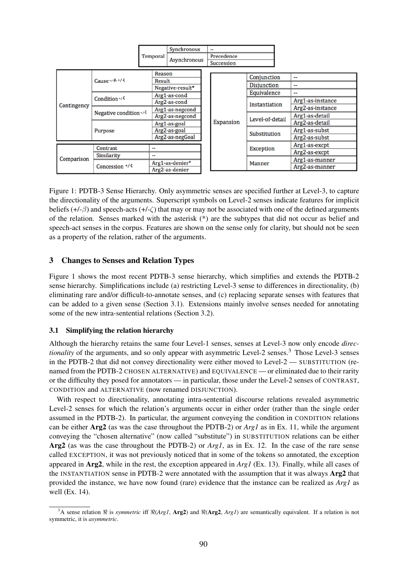|             |                                 | Temporal                             | Synchronous                                                        |  | --         |                 |                  |
|-------------|---------------------------------|--------------------------------------|--------------------------------------------------------------------|--|------------|-----------------|------------------|
|             |                                 |                                      | Asynchronous                                                       |  | Precedence |                 |                  |
|             |                                 |                                      |                                                                    |  | Succession |                 |                  |
|             |                                 |                                      |                                                                    |  |            |                 |                  |
| Contingency | Cause +/- $\beta$ , +/- $\zeta$ | Reason<br>Result<br>Negative-result* |                                                                    |  |            | Conjunction     | --               |
|             |                                 |                                      |                                                                    |  |            | Disjunction     | $\cdots$         |
|             |                                 |                                      |                                                                    |  |            |                 |                  |
|             |                                 |                                      | Arg1-as-cond                                                       |  |            | Equivalence     | --               |
|             | Condition $+1\sqrt{2}$          |                                      | Arg2-as-cond                                                       |  |            | Instantiation   | Arg1-as-instance |
|             |                                 |                                      | Arg1-as-negcond                                                    |  |            |                 | Arg2-as-instance |
|             | Negative condition+/-           |                                      | Arg2-as-negcond<br>Arg1-as-goal<br>Arg2-as-goal<br>Arg2-as-negGoal |  |            | Level-of-detail | Arg1-as-detail   |
|             | Purpose                         |                                      |                                                                    |  | Expansion  |                 | Arg2-as-detail   |
|             |                                 |                                      |                                                                    |  |            | Substitution    | Arg1-as-subst    |
|             |                                 |                                      |                                                                    |  |            |                 | Arg2-as-subst    |
| Comparison  | Contrast                        | --                                   |                                                                    |  |            | Exception       | Arg1-as-excpt    |
|             |                                 |                                      |                                                                    |  |            |                 | Arg2-as-excpt    |
|             | Similarity<br>Concession $+/-$  | --                                   |                                                                    |  |            | Manner          | Arg1-as-manner   |
|             |                                 | Arg1-as-denier*                      |                                                                    |  |            |                 | Arg2-as-manner   |
|             |                                 |                                      | Arg2-as-denier                                                     |  |            |                 |                  |

Figure 1: PDTB-3 Sense Hierarchy. Only asymmetric senses are specified further at Level-3, to capture the directionality of the arguments. Superscript symbols on Level-2 senses indicate features for implicit beliefs  $(+/-\beta)$  and speech-acts  $(+/-\zeta)$  that may or may not be associated with one of the defined arguments of the relation. Senses marked with the asterisk (\*) are the subtypes that did not occur as belief and speech-act senses in the corpus. Features are shown on the sense only for clarity, but should not be seen as a property of the relation, rather of the arguments.

### 3 Changes to Senses and Relation Types

Figure 1 shows the most recent PDTB-3 sense hierarchy, which simplifies and extends the PDTB-2 sense hierarchy. Simplifications include (a) restricting Level-3 sense to differences in directionality, (b) eliminating rare and/or difficult-to-annotate senses, and (c) replacing separate senses with features that can be added to a given sense (Section 3.1). Extensions mainly involve senses needed for annotating some of the new intra-sentential relations (Section 3.2).

### 3.1 Simplifying the relation hierarchy

Although the hierarchy retains the same four Level-1 senses, senses at Level-3 now only encode *directionality* of the arguments, and so only appear with asymmetric Level-2 senses.<sup>3</sup> Those Level-3 senses in the PDTB-2 that did not convey directionality were either moved to Level-2 — SUBSTITUTION (renamed from the PDTB-2 CHOSEN ALTERNATIVE) and EQUIVALENCE — or eliminated due to their rarity or the difficulty they posed for annotators — in particular, those under the Level-2 senses of CONTRAST, CONDITION and ALTERNATIVE (now renamed DISJUNCTION).

With respect to directionality, annotating intra-sentential discourse relations revealed asymmetric Level-2 senses for which the relation's arguments occur in either order (rather than the single order assumed in the PDTB-2). In particular, the argument conveying the condition in CONDITION relations can be either Arg2 (as was the case throughout the PDTB-2) or *Arg1* as in Ex. 11, while the argument conveying the "chosen alternative" (now called "substitute") in SUBSTITUTION relations can be either Arg2 (as was the case throughout the PDTB-2) or *Arg1*, as in Ex. 12. In the case of the rare sense called EXCEPTION, it was not previously noticed that in some of the tokens so annotated, the exception appeared in Arg2, while in the rest, the exception appeared in *Arg1* (Ex. 13). Finally, while all cases of the INSTANTIATION sense in PDTB-2 were annotated with the assumption that it was always Arg2 that provided the instance, we have now found (rare) evidence that the instance can be realized as *Arg1* as well (Ex. 14).

<sup>&</sup>lt;sup>3</sup>A sense relation  $\Re$  is *symmetric* iff  $\Re(Arg1, Arg2)$  and  $\Re(Arg2, Arg1)$  are semantically equivalent. If a relation is not symmetric, it is *asymmetric*.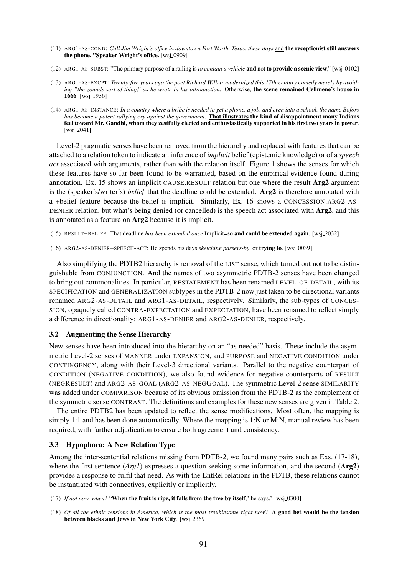- (11) ARG1-AS-COND: *Call Jim Wright's office in downtown Fort Worth, Texas, these days* and the receptionist still answers the phone, "Speaker Wright's office. [wsj.0909]
- (12) ARG1-AS-SUBST: "The primary purpose of a railing is *to contain a vehicle* and not to provide a scenic view," [wsj 0102]
- (13) ARG1-AS-EXCPT: *Twenty-five years ago the poet Richard Wilbur modernized this 17th-century comedy merely by avoiding "the zounds sort of thing," as he wrote in his introduction*. Otherwise, the scene remained Celimene's house in 1666. [wsj<sub>-1936]</sub>
- (14) ARG1-AS-INSTANCE: *In a country where a bribe is needed to get a phone, a job, and even into a school, the name Bofors has become a potent rallying cry against the government*. That illustrates the kind of disappointment many Indians feel toward Mr. Gandhi, whom they zestfully elected and enthusiastically supported in his first two years in power. [wsj<sub>-2041]</sub>

Level-2 pragmatic senses have been removed from the hierarchy and replaced with features that can be attached to a relation token to indicate an inference of *implicit* belief (epistemic knowledge) or of a *speech act* associated with arguments, rather than with the relation itself. Figure 1 shows the senses for which these features have so far been found to be warranted, based on the empirical evidence found during annotation. Ex. 15 shows an implicit CAUSE.RESULT relation but one where the result Arg2 argument is the (speaker's/writer's) *belief* that the deadline could be extended. Arg2 is therefore annotated with a +belief feature because the belief is implicit. Similarly, Ex. 16 shows a CONCESSION.ARG2-AS-DENIER relation, but what's being denied (or cancelled) is the speech act associated with Arg2, and this is annotated as a feature on Arg2 because it is implicit.

- (15) RESULT+BELIEF: That deadline *has been extended once* Implicit=so and could be extended again. [wsj 2032]
- (16) ARG2-AS-DENIER+SPEECH-ACT: He spends his days *sketching passers-by*, or trying to. [wsj 0039]

Also simplifying the PDTB2 hierarchy is removal of the LIST sense, which turned out not to be distinguishable from CONJUNCTION. And the names of two asymmetric PDTB-2 senses have been changed to bring out commonalities. In particular, RESTATEMENT has been renamed LEVEL-OF-DETAIL, with its SPECIFICATION and GENERALIZATION subtypes in the PDTB-2 now just taken to be directional variants renamed ARG2-AS-DETAIL and ARG1-AS-DETAIL, respectively. Similarly, the sub-types of CONCES-SION, opaquely called CONTRA-EXPECTATION and EXPECTATION, have been renamed to reflect simply a difference in directionality: ARG1-AS-DENIER and ARG2-AS-DENIER, respectively.

#### 3.2 Augmenting the Sense Hierarchy

New senses have been introduced into the hierarchy on an "as needed" basis. These include the asymmetric Level-2 senses of MANNER under EXPANSION, and PURPOSE and NEGATIVE CONDITION under CONTINGENCY, along with their Level-3 directional variants. Parallel to the negative counterpart of CONDITION (NEGATIVE CONDITION), we also found evidence for negative counterparts of RESULT (NEGRESULT) and ARG2-AS-GOAL (ARG2-AS-NEGGOAL). The symmetric Level-2 sense SIMILARITY was added under COMPARISON because of its obvious omission from the PDTB-2 as the complement of the symmetric sense CONTRAST. The definitions and examples for these new senses are given in Table 2.

The entire PDTB2 has been updated to reflect the sense modifications. Most often, the mapping is simply 1:1 and has been done automatically. Where the mapping is 1:N or M:N, manual review has been required, with further adjudication to ensure both agreement and consistency.

#### 3.3 Hypophora: A New Relation Type

Among the inter-sentential relations missing from PDTB-2, we found many pairs such as Exs. (17-18), where the first sentence (*Arg1*) expresses a question seeking some information, and the second (**Arg2**) provides a response to fulfil that need. As with the EntRel relations in the PDTB, these relations cannot be instantiated with connectives, explicitly or implicitly.

- (17) *If not now, when*? "When the fruit is ripe, it falls from the tree by itself," he says." [wsj\_0300]
- (18) *Of all the ethnic tensions in America, which is the most troublesome right now*? A good bet would be the tension between blacks and Jews in New York City. [wsj.2369]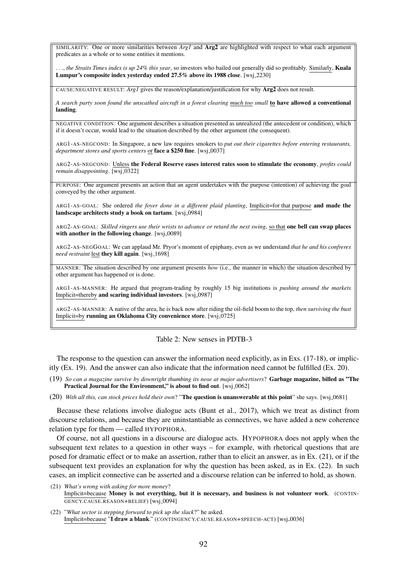SIMILARITY: One or more similarities between *Arg1* and Arg2 are highlighted with respect to what each argument predicates as a whole or to some entities it mentions.

..., *the Straits Times index is up 24% this year*, so investors who bailed out generally did so profitably. Similarly, Kuala Lumpur's composite index vesterday ended 27.5% above its 1988 close. [wsj\_2230]

CAUSE:NEGATIVE RESULT: *Arg1* gives the reason/explanation/justification for why Arg2 does not result.

*A search party soon found the unscathed aircraft in a forest clearing much too small* to have allowed a conventional landing.

NEGATIVE CONDITION: One argument describes a situation presented as unrealized (the antecedent or condition), which if it doesn't occur, would lead to the situation described by the other argument (the consequent).

ARG1-AS-NEGCOND: In Singapore, a new law requires smokers to *put out their cigarettes before entering restaurants, department stores and sports centers* or **face a \$250 fine**. [wsj\_0037]

ARG2-AS-NEGCOND: Unless the Federal Reserve eases interest rates soon to stimulate the economy, *profits could remain disappointing.* [wsj\_0322]

PURPOSE: One argument presents an action that an agent undertakes with the purpose (intention) of achieving the goal conveyed by the other argument.

ARG1-AS-GOAL: She ordered *the foyer done in a different plaid planting*, Implicit=for that purpose and made the landscape architects study a book on tartans. [wsj\_0984]

ARG2-AS-GOAL: *Skilled ringers use their wrists to advance or retard the next swing*, so that one bell can swap places with another in the following change. [wsj.0089]

ARG2-AS-NEGGOAL: We can applaud Mr. Pryor's moment of epiphany, even as we understand *that he and his confreres need restraint* lest they kill again. [wsj.1698]

MANNER: The situation described by one argument presents *how* (i.e., the manner in which) the situation described by other argument has happened or is done.

ARG1-AS-MANNER: He argued that program-trading by roughly 15 big institutions is *pushing around the markets* Implicit=thereby and scaring individual investors. [wsj\_0987]

ARG2-AS-MANNER: A native of the area, he is back now after riding the oil-field boom to the top, *then surviving the bust* Implicit=by running an Oklahoma City convenience store. [wsj\_0725]

Table 2: New senses in PDTB-3

The response to the question can answer the information need explicitly, as in Exs. (17-18), or implicitly (Ex. 19). And the answer can also indicate that the information need cannot be fulfilled (Ex. 20).

- (19) *So can a magazine survive by downright thumbing its nose at major advertisers*? Garbage magazine, billed as "The Practical Journal for the Environment," is about to find out. [wsj\_0062]
- (20) *With all this, can stock prices hold their own*? "The question is unanswerable at this point" she says. [wsj 0681]

Because these relations involve dialogue acts (Bunt et al., 2017), which we treat as distinct from discourse relations, and because they are uninstantiable as connectives, we have added a new coherence relation type for them — called HYPOPHORA.

Of course, not all questions in a discourse are dialogue acts. HYPOPHORA does not apply when the subsequent text relates to a question in other ways – for example, with rhetorical questions that are posed for dramatic effect or to make an assertion, rather than to elicit an answer, as in Ex. (21), or if the subsequent text provides an explanation for why the question has been asked, as in Ex. (22). In such cases, an implicit connective can be asserted and a discourse relation can be inferred to hold, as shown.

- (21) *What's wrong with asking for more money*? Implicit=because Money is not everything, but it is necessary, and business is not volunteer work. (CONTIN-GENCY.CAUSE.REASON+BELIEF) [wsj\_0094]
- (22) "*What sector is stepping forward to pick up the slack*?" he asked. Implicit=because "I draw a blank." (CONTINGENCY.CAUSE.REASON+SPEECH-ACT) [wsj 0036]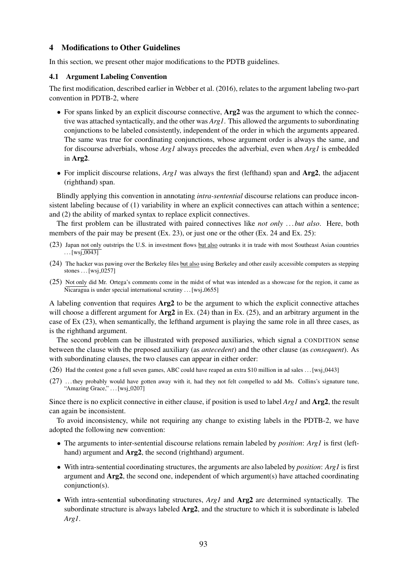### 4 Modifications to Other Guidelines

In this section, we present other major modifications to the PDTB guidelines.

### 4.1 Argument Labeling Convention

The first modification, described earlier in Webber et al. (2016), relates to the argument labeling two-part convention in PDTB-2, where

- For spans linked by an explicit discourse connective,  $Arg2$  was the argument to which the connective was attached syntactically, and the other was *Arg1*. This allowed the arguments to subordinating conjunctions to be labeled consistently, independent of the order in which the arguments appeared. The same was true for coordinating conjunctions, whose argument order is always the same, and for discourse adverbials, whose *Arg1* always precedes the adverbial, even when *Arg1* is embedded in Arg2.
- For implicit discourse relations, *Arg1* was always the first (lefthand) span and Arg2, the adjacent (righthand) span.

Blindly applying this convention in annotating *intra-sentential* discourse relations can produce inconsistent labeling because of (1) variability in where an explicit connectives can attach within a sentence; and (2) the ability of marked syntax to replace explicit connectives.

The first problem can be illustrated with paired connectives like *not only* ... *but also*. Here, both members of the pair may be present (Ex. 23), or just one or the other (Ex. 24 and Ex. 25):

- (23) Japan not only outstrips the U.S. in investment flows but also outranks it in trade with most Southeast Asian countries  $\ldots$  [wsj\_0043]
- (24) The hacker was pawing over the Berkeley files but also using Berkeley and other easily accessible computers as stepping stones  $\dots$  [wsj\_0257]
- (25) Not only did Mr. Ortega's comments come in the midst of what was intended as a showcase for the region, it came as  $\overline{\text{Nicaragu}}$  is under special international scrutiny ... [wsj.0655]

A labeling convention that requires Arg2 to be the argument to which the explicit connective attaches will choose a different argument for  $\text{Arg2}$  in Ex. (24) than in Ex. (25), and an arbitrary argument in the case of Ex (23), when semantically, the lefthand argument is playing the same role in all three cases, as is the righthand argument.

The second problem can be illustrated with preposed auxiliaries, which signal a CONDITION sense between the clause with the preposed auxiliary (as *antecedent*) and the other clause (as *consequent*). As with subordinating clauses, the two clauses can appear in either order:

- (26) Had the contest gone a full seven games, ABC could have reaped an extra \$10 million in ad sales . . . [wsj 0443]
- (27) . . . they probably would have gotten away with it, had they not felt compelled to add Ms. Collins's signature tune, "Amazing Grace," . . . [wsj\_0207]

Since there is no explicit connective in either clause, if position is used to label *Arg1* and Arg2, the result can again be inconsistent.

To avoid inconsistency, while not requiring any change to existing labels in the PDTB-2, we have adopted the following new convention:

- The arguments to inter-sentential discourse relations remain labeled by *position*: *Arg1* is first (lefthand) argument and  $Arg2$ , the second (righthand) argument.
- With intra-sentential coordinating structures, the arguments are also labeled by *position*: *Arg1* is first argument and  $\text{Arg2}$ , the second one, independent of which argument(s) have attached coordinating conjunction(s).
- With intra-sentential subordinating structures, *Arg1* and **Arg2** are determined syntactically. The subordinate structure is always labeled Arg2, and the structure to which it is subordinate is labeled *Arg1*.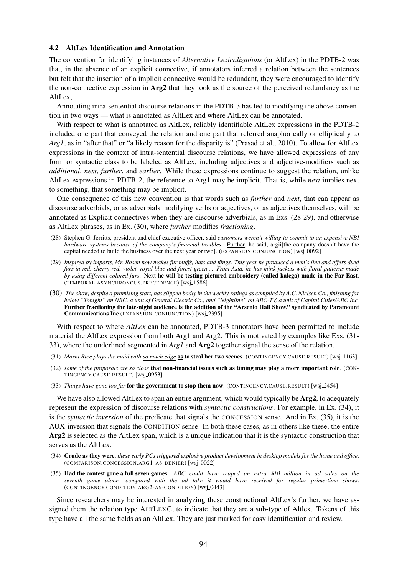#### 4.2 AltLex Identification and Annotation

The convention for identifying instances of *Alternative Lexicalizations* (or AltLex) in the PDTB-2 was that, in the absence of an explicit connective, if annotators inferred a relation between the sentences but felt that the insertion of a implicit connective would be redundant, they were encouraged to identify the non-connective expression in Arg2 that they took as the source of the perceived redundancy as the AltLex,

Annotating intra-sentential discourse relations in the PDTB-3 has led to modifying the above convention in two ways — what is annotated as AltLex and where AltLex can be annotated.

With respect to what is annotated as AltLex, reliably identifiable AltLex expressions in the PDTB-2 included one part that conveyed the relation and one part that referred anaphorically or elliptically to *Arg1*, as in "after that" or "a likely reason for the disparity is" (Prasad et al., 2010). To allow for AltLex expressions in the context of intra-sentential discourse relations, we have allowed expressions of any form or syntactic class to be labeled as AltLex, including adjectives and adjective-modifiers such as *additional*, *next*, *further*, and *earlier*. While these expressions continue to suggest the relation, unlike AltLex expressions in PDTB-2, the reference to Arg1 may be implicit. That is, while *next* implies next to something, that something may be implicit.

One consequence of this new convention is that words such as *further* and *next*, that can appear as discourse adverbials, or as adverbials modifying verbs or adjectives, or as adjectives themselves, will be annotated as Explicit connectives when they are discourse adverbials, as in Exs. (28-29), and otherwise as AltLex phrases, as in Ex. (30), where *further* modifies *fractioning*.

- (28) Stephen G. Jerritts, president and chief executive officer, said *customers weren't willing to commit to an expensive NBI hardware systems because of the company's financial troubles*. Further, he said, argii[the company doesn't have the capital needed to build the business over the next year or two]. (EXPANSION.CONJUNCTION) [wsj\_0092]
- (29) *Inspired by imports, Mr. Rosen now makes fur muffs, hats and flings. This year he produced a men's line and offers dyed furs in red, cherry red, violet, royal blue and forest green.... From Asia, he has mink jackets with floral patterns made by using different colored furs*. Next he will be testing pictured embroidery (called kalega) made in the Far East. (TEMPORAL.ASYNCHRONOUS.PRECEDENCE) [wsj.1586]
- (30) *The show, despite a promising start, has slipped badly in the weekly ratings as compiled by A.C. Nielsen Co., finishing far below "Tonight" on NBC, a unit of General Electric Co., and "Nightline" on ABC-TV, a unit of Capital Cities/ABC Inc.* Further fractioning the late-night audience is the addition of the "Arsenio Hall Show," syndicated by Paramount Communications Inc (EXPANSION.CONJUNCTION) [wsj 2395]

With respect to where *AltLex* can be annotated, PDTB-3 annotators have been permitted to include material the AltLex expression from both Arg1 and Arg2. This is motivated by examples like Exs. (31- 33), where the underlined segmented in *Arg1* and Arg2 together signal the sense of the relation.

- (31) *Marni Rice plays the maid with so much edge* as to steal her two scenes. (CONTINGENCY.CAUSE.RESULT) [wsj\_1163]
- (32) *some of the proposals are so close* that non-financial issues such as timing may play a more important role. (CON-TINGENCY.CAUSE.RESULT) [wsj\_0953]
- (33) *Things have gone too far* for the government to stop them now. (CONTINGENCY.CAUSE.RESULT) [wsj.2454]

We have also allowed AltLex to span an entire argument, which would typically be **Arg2**, to adequately represent the expression of discourse relations with *syntactic constructions*. For example, in Ex. (34), it is the *syntactic inversion* of the predicate that signals the CONCESSION sense. And in Ex. (35), it is the AUX-inversion that signals the CONDITION sense. In both these cases, as in others like these, the entire Arg2 is selected as the AltLex span, which is a unique indication that it is the syntactic construction that serves as the AltLex.

- (34) Crude as they were, *these early PCs triggered explosive product development in desktop models for the home and office*. (COMPARISON.CONCESSION.ARG1-AS-DENIER) [wsj 0022]
- (35) Had the contest gone a full seven games, *ABC could have reaped an extra* \$*10 million in ad sales on the seventh game alone, compared with the ad take it would have received for regular prime-time shows*. (CONTINGENCY.CONDITION.ARG2-AS-CONDITION) [wsj.0443]

Since researchers may be interested in analyzing these constructional AltLex's further, we have assigned them the relation type ALTLEXC, to indicate that they are a sub-type of Altlex. Tokens of this type have all the same fields as an AltLex. They are just marked for easy identification and review.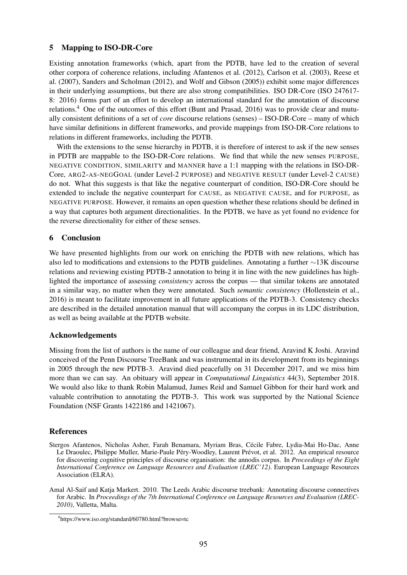### 5 Mapping to ISO-DR-Core

Existing annotation frameworks (which, apart from the PDTB, have led to the creation of several other corpora of coherence relations, including Afantenos et al. (2012), Carlson et al. (2003), Reese et al. (2007), Sanders and Scholman (2012), and Wolf and Gibson (2005)) exhibit some major differences in their underlying assumptions, but there are also strong compatibilities. ISO DR-Core (ISO 247617- 8: 2016) forms part of an effort to develop an international standard for the annotation of discourse relations.4 One of the outcomes of this effort (Bunt and Prasad, 2016) was to provide clear and mutually consistent definitions of a set of *core* discourse relations (senses) – ISO-DR-Core – many of which have similar definitions in different frameworks, and provide mappings from ISO-DR-Core relations to relations in different frameworks, including the PDTB.

With the extensions to the sense hierarchy in PDTB, it is therefore of interest to ask if the new senses in PDTB are mappable to the ISO-DR-Core relations. We find that while the new senses PURPOSE, NEGATIVE CONDITION, SIMILARITY and MANNER have a 1:1 mapping with the relations in ISO-DR-Core, ARG2-AS-NEGGOAL (under Level-2 PURPOSE) and NEGATIVE RESULT (under Level-2 CAUSE) do not. What this suggests is that like the negative counterpart of condition, ISO-DR-Core should be extended to include the negative counterpart for CAUSE, as NEGATIVE CAUSE, and for PURPOSE, as NEGATIVE PURPOSE. However, it remains an open question whether these relations should be defined in a way that captures both argument directionalities. In the PDTB, we have as yet found no evidence for the reverse directionality for either of these senses.

### 6 Conclusion

We have presented highlights from our work on enriching the PDTB with new relations, which has also led to modifications and extensions to the PDTB guidelines. Annotating a further  $\sim$ 13K discourse relations and reviewing existing PDTB-2 annotation to bring it in line with the new guidelines has highlighted the importance of assessing *consistency* across the corpus — that similar tokens are annotated in a similar way, no matter when they were annotated. Such *semantic consistency* (Hollenstein et al., 2016) is meant to facilitate improvement in all future applications of the PDTB-3. Consistency checks are described in the detailed annotation manual that will accompany the corpus in its LDC distribution, as well as being available at the PDTB website.

### Acknowledgements

Missing from the list of authors is the name of our colleague and dear friend, Aravind K Joshi. Aravind conceived of the Penn Discourse TreeBank and was instrumental in its development from its beginnings in 2005 through the new PDTB-3. Aravind died peacefully on 31 December 2017, and we miss him more than we can say. An obituary will appear in *Computational Linguistics* 44(3), September 2018. We would also like to thank Robin Malamud, James Reid and Samuel Gibbon for their hard work and valuable contribution to annotating the PDTB-3. This work was supported by the National Science Foundation (NSF Grants 1422186 and 1421067).

## References

- Stergos Afantenos, Nicholas Asher, Farah Benamara, Myriam Bras, Cecile Fabre, Lydia-Mai Ho-Dac, Anne ´ Le Draoulec, Philippe Muller, Marie-Paule Péry-Woodley, Laurent Prévot, et al. 2012. An empirical resource for discovering cognitive principles of discourse organisation: the annodis corpus. In *Proceedings of the Eight International Conference on Language Resources and Evaluation (LREC'12)*. European Language Resources Association (ELRA).
- Amal Al-Saif and Katja Markert. 2010. The Leeds Arabic discourse treebank: Annotating discourse connectives for Arabic. In *Proceedings of the 7th International Conference on Language Resources and Evaluation (LREC-2010)*, Valletta, Malta.

<sup>4</sup> https://www.iso.org/standard/60780.html?browse=tc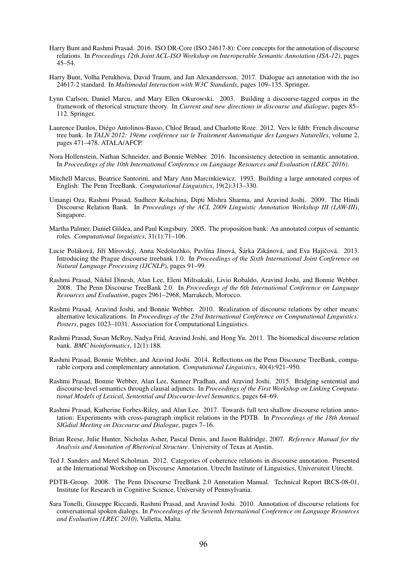- Harry Bunt and Rashmi Prasad. 2016. ISO DR-Core (ISO 24617-8): Core concepts for the annotation of discourse relations. In *Proceedings 12th Joint ACL-ISO Workshop on Interoperable Semantic Annotation (ISA-12)*, pages 45–54.
- Harry Bunt, Volha Petukhova, David Traum, and Jan Alexandersson. 2017. Dialogue act annotation with the iso 24617-2 standard. In *Multimodal Interaction with W3C Standards*, pages 109–135. Springer.
- Lynn Carlson, Daniel Marcu, and Mary Ellen Okurowski. 2003. Building a discourse-tagged corpus in the framework of rhetorical structure theory. In *Current and new directions in discourse and dialogue*, pages 85– 112. Springer.
- Laurence Danlos, Diégo Antolinos-Basso, Chloé Braud, and Charlotte Roze. 2012. Vers le fdtb: French discourse tree bank. In *TALN 2012: 19ème conférence sur le Traitement Automatique des Langues Naturelles, volume 2,* pages 471–478. ATALA/AFCP.
- Nora Hollenstein, Nathan Schneider, and Bonnie Webber. 2016. Inconsistency detection in semantic annotation. In *Proceedings of the 10th International Conference on Language Resources and Evaluation (LREC 2016)*.
- Mitchell Marcus, Beatrice Santorini, and Mary Ann Marcinkiewicz. 1993. Building a large annotated corpus of English: The Penn TreeBank. *Computational Linguistics*, 19(2):313–330.
- Umangi Oza, Rashmi Prasad, Sudheer Kolachina, Dipti Mishra Sharma, and Aravind Joshi. 2009. The Hindi Discourse Relation Bank. In *Proceedings of the ACL 2009 Linguistic Annotation Workshop III (LAW-III)*, Singapore.
- Martha Palmer, Daniel Gildea, and Paul Kingsbury. 2005. The proposition bank: An annotated corpus of semantic roles. *Computational linguistics*, 31(1):71–106.
- Lucie Poláková, Jiří Mírovský, Anna Nedoluzhko, Pavlína Jínová, Šárka Zikánová, and Eva Hajičová, 2013. Introducing the Prague discourse treebank 1.0. In *Proceedings of the Sixth International Joint Conference on Natural Language Processing (IJCNLP)*, pages 91–99.
- Rashmi Prasad, Nikhil Dinesh, Alan Lee, Eleni Miltsakaki, Livio Robaldo, Aravind Joshi, and Bonnie Webber. 2008. The Penn Discourse TreeBank 2.0. In *Proceedings of the 6th International Conference on Language Resources and Evaluation*, pages 2961–2968, Marrakech, Morocco.
- Rashmi Prasad, Aravind Joshi, and Bonnie Webber. 2010. Realization of discourse relations by other means: alternative lexicalizations. In *Proceedings of the 23rd International Conference on Computational Linguistics: Posters*, pages 1023–1031. Association for Computational Linguistics.
- Rashmi Prasad, Susan McRoy, Nadya Frid, Aravind Joshi, and Hong Yu. 2011. The biomedical discourse relation bank. *BMC bioinformatics*, 12(1):188.
- Rashmi Prasad, Bonnie Webber, and Aravind Joshi. 2014. Reflections on the Penn Discourse TreeBank, comparable corpora and complementary annotation. *Computational Linguistics*, 40(4):921–950.
- Rashmi Prasad, Bonnie Webber, Alan Lee, Sameer Pradhan, and Aravind Joshi. 2015. Bridging sentential and discourse-level semantics through clausal adjuncts. In *Proceedings of the First Workshop on Linking Computational Models of Lexical, Sentential and Discourse-level Semantics*, pages 64–69.
- Rashmi Prasad, Katherine Forbes-Riley, and Alan Lee. 2017. Towards full text shallow discourse relation annotation: Experiments with cross-paragraph implicit relations in the PDTB. In *Proceedings of the 18th Annual SIGdial Meeting on Discourse and Dialogue*, pages 7–16.
- Brian Reese, Julie Hunter, Nicholas Asher, Pascal Denis, and Jason Baldridge, 2007. *Reference Manual for the Analysis and Annotation of Rhetorical Structure*. University of Texas at Austin.
- Ted J. Sanders and Merel Scholman. 2012. Categories of coherence relations in discourse annotation. Presented at the International Workshop on Discourse Annotation. Utrecht Institute of Linguistics, Universiteit Utrecht.
- PDTB-Group. 2008. The Penn Discourse TreeBank 2.0 Annotation Manual. Technical Report IRCS-08-01, Institute for Research in Cognitive Science, University of Pennsylvania.
- Sara Tonelli, Giuseppe Riccardi, Rashmi Prasad, and Aravind Joshi. 2010. Annotation of discourse relations for conversational spoken dialogs. In *Proceedings of the Seventh International Conference on Language Resources and Evaluation (LREC 2010)*, Valletta, Malta.